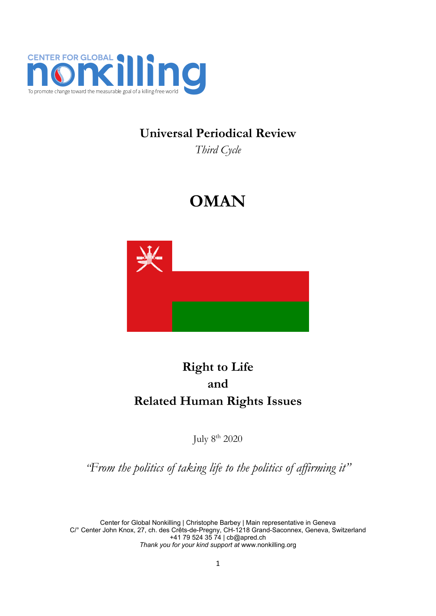

## **Universal Periodical Review**

*Third Cycle*

# **OMAN**



# **Right to Life and Related Human Rights Issues**

July <sup>8</sup>th 2020

*"From the politics of taking life to the politics of affirming it"*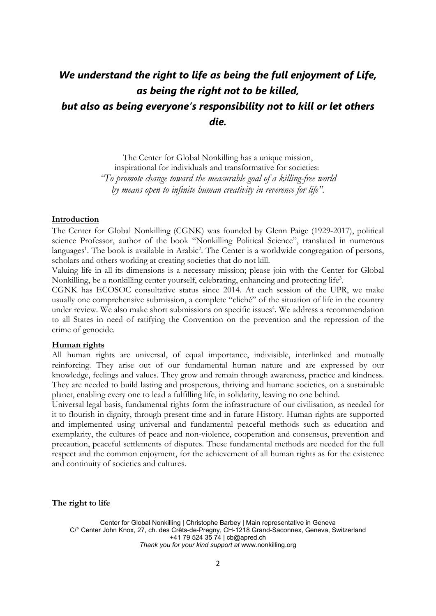## *We understand the right to life as being the full enjoyment of Life, as being the right not to be killed, but also as being everyone'<sup>s</sup> responsibility not to kill or let others die.*

The Center for Global Nonkilling has <sup>a</sup> unique mission, inspirational for individuals and transformative for societies: *"To promote change toward the measurable goal of <sup>a</sup> killing-free world by means open to infinite human creativity in reverence for life".*

#### **Introduction**

The Center for Global Nonkilling (CGNK) was founded by Glenn Paige (1929-2017), political science Professor, author of the book "Nonkilling Political Science", translated in numerous languages 1 . The book is available in Arabic 2 . The Center is <sup>a</sup> worldwide congregation of persons, scholars and others working at creating societies that do not kill.

Valuing life in all its dimensions is <sup>a</sup> necessary mission; please join with the Center for Global Nonkilling, be <sup>a</sup> nonkilling center yourself, celebrating, enhancing and protecting life 3 .

CGNK has ECOSOC consultative status since 2014. At each session of the UPR, we make usually one comprehensive submission, <sup>a</sup> complete "cliché" of the situation of life in the country under review. We also make short submissions on specific issues 4 . We address <sup>a</sup> recommendation to all States in need of ratifying the Convention on the prevention and the repression of the crime of genocide.

#### **Human rights**

All human rights are universal, of equal importance, indivisible, interlinked and mutually reinforcing. They arise out of our fundamental human nature and are expressed by our knowledge, feelings and values. They grow and remain through awareness, practice and kindness. They are needed to build lasting and prosperous, thriving and humane societies, on <sup>a</sup> sustainable planet, enabling every one to lead <sup>a</sup> fulfilling life, in solidarity, leaving no one behind.

Universal legal basis, fundamental rights form the infrastructure of our civilisation, as needed for it to flourish in dignity, through present time and in future History. Human rights are supported and implemented using universal and fundamental peaceful methods such as education and exemplarity, the cultures of peace and non-violence, cooperation and consensus, prevention and precaution, peaceful settlements of disputes. These fundamental methods are needed for the full respect and the common enjoyment, for the achievement of all human rights as for the existence and continuity of societies and cultures.

**The right to life**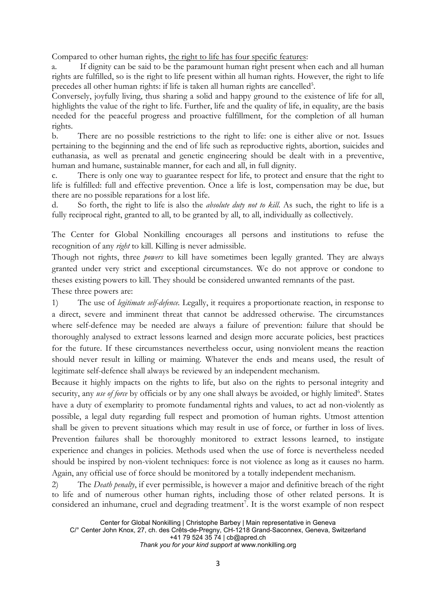Compared to other human rights, the right to life has four specific features:

a. If dignity can be said to be the paramount human right present when each and all human rights are fulfilled, so is the right to life present within all human rights. However, the right to life precedes all other human rights: if life is taken all human rights are cancelled<sup>5</sup>.

Conversely, joyfully living, thus sharing <sup>a</sup> solid and happy ground to the existence of life for all, highlights the value of the right to life. Further, life and the quality of life, in equality, are the basis needed for the peaceful progress and proactive fulfillment, for the completion of all human rights.

b. There are no possible restrictions to the right to life: one is either alive or not. Issues pertaining to the beginning and the end of life such as reproductive rights, abortion, suicides and euthanasia, as well as prenatal and genetic engineering should be dealt with in <sup>a</sup> preventive, human and humane, sustainable manner, for each and all, in full dignity.

c. There is only one way to guarantee respect for life, to protect and ensure that the right to life is fulfilled: full and effective prevention. Once <sup>a</sup> life is lost, compensation may be due, but there are no possible reparations for <sup>a</sup> lost life.

d. So forth, the right to life is also the *absolute duty not to kill*. As such, the right to life is <sup>a</sup> fully reciprocal right, granted to all, to be granted by all, to all, individually as collectively.

The Center for Global Nonkilling encourages all persons and institutions to refuse the recognition of any *right* to kill. Killing is never admissible.

Though not rights, three *powers* to kill have sometimes been legally granted. They are always granted under very strict and exceptional circumstances. We do not approve or condone to theses existing powers to kill. They should be considered unwanted remnants of the past. These three powers are:

1) The use of *legitimate self-defence.* Legally, it requires <sup>a</sup> proportionate reaction, in response to <sup>a</sup> direct, severe and imminent threat that cannot be addressed otherwise. The circumstances where self-defence may be needed are always <sup>a</sup> failure of prevention: failure that should be thoroughly analysed to extract lessons learned and design more accurate policies, best practices for the future. If these circumstances nevertheless occur, using nonviolent means the reaction should never result in killing or maiming. Whatever the ends and means used, the result of legitimate self-defence shall always be reviewed by an independent mechanism.

Because it highly impacts on the rights to life, but also on the rights to personal integrity and security, any *use of force* by officials or by any one shall always be avoided, or highly limited<sup>6</sup>. States have <sup>a</sup> duty of exemplarity to promote fundamental rights and values, to act ad non-violently as possible, <sup>a</sup> legal duty regarding full respect and promotion of human rights. Utmost attention shall be given to prevent situations which may result in use of force, or further in loss of lives. Prevention failures shall be thoroughly monitored to extract lessons learned, to instigate experience and changes in policies. Methods used when the use of force is nevertheless needed should be inspired by non-violent techniques: force is not violence as long as it causes no harm. Again, any official use of force should be monitored by <sup>a</sup> totally independent mechanism.

2) The *Death penalty*, if ever permissible, is however <sup>a</sup> major and definitive breach of the right to life and of numerous other human rights, including those of other related persons. It is considered an inhumane, cruel and degrading treatment 7 . It is the worst example of non respect

*Thank you for your kind support at* [www.nonkilling.org](http://www.nonkilling.org)

Center for Global Nonkilling | Christophe Barbey | Main representative in Geneva C/° Center John Knox, 27, ch. des Crêts-de-Pregny, CH-1218 Grand-Saconnex, Geneva, Switzerland +41 79 524 35 74 | [cb@apred.ch](mailto:cb@apred.ch)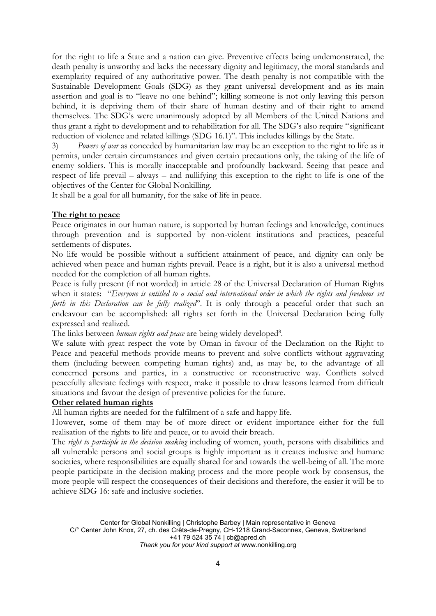for the right to life <sup>a</sup> State and <sup>a</sup> nation can give. Preventive effects being undemonstrated, the death penalty is unworthy and lacks the necessary dignity and legitimacy, the moral standards and exemplarity required of any authoritative power. The death penalty is not compatible with the Sustainable Development Goals (SDG) as they grant universal development and as its main assertion and goal is to "leave no one behind"; killing someone is not only leaving this person behind, it is depriving them of their share of human destiny and of their right to amend themselves. The SDG'<sup>s</sup> were unanimously adopted by all Members of the United Nations and thus grant <sup>a</sup> right to development and to rehabilitation for all. The SDG'<sup>s</sup> also require "significant reduction of violence and related killings (SDG 16.1)". This includes killings by the State.

3) *Powers of war* as conceded by humanitarian law may be an exception to the right to life as it permits, under certain circumstances and given certain precautions only, the taking of the life of enemy soldiers. This is morally inacceptable and profoundly backward. Seeing that peace and respect of life prevail – always – and nullifying this exception to the right to life is one of the objectives of the Center for Global Nonkilling.

It shall be <sup>a</sup> goal for all humanity, for the sake of life in peace.

#### **The right to peace**

Peace originates in our human nature, is supported by human feelings and knowledge, continues through prevention and is supported by non-violent institutions and practices, peaceful settlements of disputes.

No life would be possible without <sup>a</sup> sufficient attainment of peace, and dignity can only be achieved when peace and human rights prevail. Peace is <sup>a</sup> right, but it is also <sup>a</sup> universal method needed for the completion of all human rights.

Peace is fully present (if not worded) in article 28 of the Universal Declaration of Human Rights when it states: "*Everyone is entitled to <sup>a</sup> social and international order in which the rights and freedoms set forth in this Declaration can be fully realized*". It is only through <sup>a</sup> peaceful order that such an endeavour can be accomplished: all rights set forth in the Universal Declaration being fully expressed and realized.

The links between *human rights and peace* are being widely developed<sup>8</sup>.

We salute with great respect the vote by Oman in favour of the Declaration on the Right to Peace and peaceful methods provide means to prevent and solve conflicts without aggravating them (including between competing human rights) and, as may be, to the advantage of all concerned persons and parties, in <sup>a</sup> constructive or reconstructive way. Conflicts solved peacefully alleviate feelings with respect, make it possible to draw lessons learned from difficult situations and favour the design of preventive policies for the future.

#### **Other related human rights**

All human rights are needed for the fulfilment of <sup>a</sup> safe and happy life.

However, some of them may be of more direct or evident importance either for the full realisation of the rights to life and peace, or to avoid their breach.

The *right to participle in the decision making* including of women, youth, persons with disabilities and all vulnerable persons and social groups is highly important as it creates inclusive and humane societies, where responsibilities are equally shared for and towards the well-being of all. The more people participate in the decision making process and the more people work by consensus, the more people will respect the consequences of their decisions and therefore, the easier it will be to achieve SDG 16: safe and inclusive societies.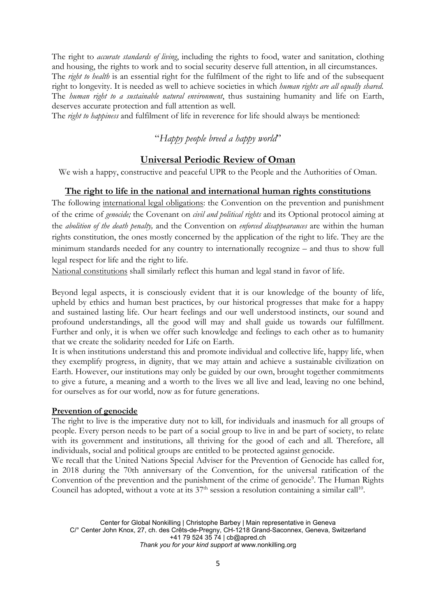The right to *accurate standards of living*, including the rights to food, water and sanitation, clothing and housing, the rights to work and to social security deserve full attention, in all circumstances.

The *right to health* is an essential right for the fulfilment of the right to life and of the subsequent right to longevity. It is needed as well to achieve societies in which *human rights are all equally shared*. The *human right to <sup>a</sup> sustainable natural environment*, thus sustaining humanity and life on Earth, deserves accurate protection and full attention as well.

The *right to happiness* and fulfilment of life in reverence for life should always be mentioned:

"*Happy people breed <sup>a</sup> happy world*"

#### **Universal Periodic Review of Oman**

We wish <sup>a</sup> happy, constructive and peaceful UPR to the People and the Authorities of Oman.

#### **The right to life in the national and international human rights constitutions**

The following international legal obligations: the Convention on the prevention and punishment of the crime of *genocide;* the Covenant on *civil and political rights* and its Optional protocol aiming at the *abolition of the death penalty,* and the Convention on *enforced disappearances* are within the human rights constitution, the ones mostly concerned by the application of the right to life. They are the minimum standards needed for any country to internationally recognize – and thus to show full legal respect for life and the right to life.

National constitutions shall similarly reflect this human and legal stand in favor of life.

Beyond legal aspects, it is consciously evident that it is our knowledge of the bounty of life, upheld by ethics and human best practices, by our historical progresses that make for <sup>a</sup> happy and sustained lasting life. Our heart feelings and our well understood instincts, our sound and profound understandings, all the good will may and shall guide us towards our fulfillment. Further and only, it is when we offer such knowledge and feelings to each other as to humanity that we create the solidarity needed for Life on Earth.

It is when institutions understand this and promote individual and collective life, happy life, when they exemplify progress, in dignity, that we may attain and achieve <sup>a</sup> sustainable civilization on Earth. However, our institutions may only be guided by our own, brought together commitments to give <sup>a</sup> future, <sup>a</sup> meaning and <sup>a</sup> worth to the lives we all live and lead, leaving no one behind, for ourselves as for our world, now as for future generations.

#### **Prevention of genocide**

The right to live is the imperative duty not to kill, for individuals and inasmuch for all groups of people. Every person needs to be part of <sup>a</sup> social group to live in and be part of society, to relate with its government and institutions, all thriving for the good of each and all. Therefore, all individuals, social and political groups are entitled to be protected against genocide.

We recall that the United Nations Special Adviser for the Prevention of Genocide has called for, in 2018 during the 70th anniversary of the Convention, for the universal ratification of the Convention of the prevention and the punishment of the crime of genocide 9 . The Human Rights Council has adopted, without a vote at its  $37^{\text{th}}$  session a resolution containing a similar call $^{10}$ .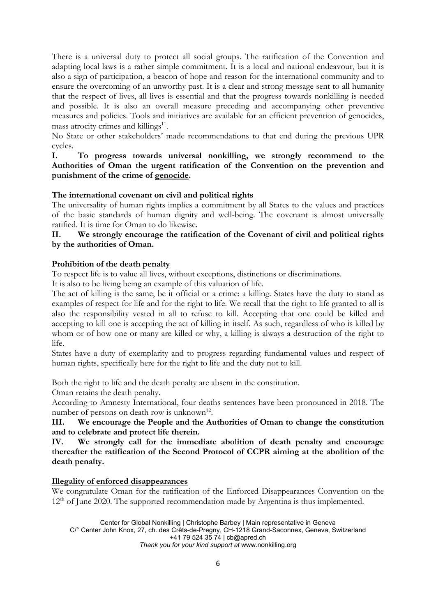There is <sup>a</sup> universal duty to protect all social groups. The ratification of the Convention and adapting local laws is <sup>a</sup> rather simple commitment. It is <sup>a</sup> local and national endeavour, but it is also <sup>a</sup> sign of participation, <sup>a</sup> beacon of hope and reason for the international community and to ensure the overcoming of an unworthy past. It is <sup>a</sup> clear and strong message sent to all humanity that the respect of lives, all lives is essential and that the progress towards nonkilling is needed and possible. It is also an overall measure preceding and accompanying other preventive measures and policies. Tools and initiatives are available for an efficient prevention of genocides, mass atrocity crimes and killings<sup>11</sup>.

No State or other stakeholders' made recommendations to that end during the previous UPR cycles.

#### **I. To progress towards universal nonkilling, we strongly recommend to the Authorities of Oman the urgent ratification of the Convention on the prevention and punishment of the crime of genocide.**

#### **The international covenant on civil and political rights**

The universality of human rights implies <sup>a</sup> commitment by all States to the values and practices of the basic standards of human dignity and well-being. The covenant is almost universally ratified. It is time for Oman to do likewise.

#### **II. We strongly encourage the ratification of the Covenant of civil and political rights by the authorities of Oman.**

#### **Prohibition of the death penalty**

To respect life is to value all lives, without exceptions, distinctions or discriminations.

It is also to be living being an example of this valuation of life.

The act of killing is the same, be it official or <sup>a</sup> crime: <sup>a</sup> killing. States have the duty to stand as examples of respect for life and for the right to life. We recall that the right to life granted to all is also the responsibility vested in all to refuse to kill. Accepting that one could be killed and accepting to kill one is accepting the act of killing in itself. As such, regardless of who is killed by whom or of how one or many are killed or why, <sup>a</sup> killing is always <sup>a</sup> destruction of the right to life.

States have <sup>a</sup> duty of exemplarity and to progress regarding fundamental values and respect of human rights, specifically here for the right to life and the duty not to kill.

Both the right to life and the death penalty are absent in the constitution.

Oman retains the death penalty.

According to Amnesty International, four deaths sentences have been pronounced in 2018. The number of persons on death row is unknown<sup>12</sup>.

**III. We encourage the People and the Authorities of Oman to change the constitution and to celebrate and protect life therein.**

**IV. We strongly call for the immediate abolition of death penalty and encourage thereafter the ratification of the Second Protocol of CCPR aiming at the abolition of the death penalty.**

#### **Illegality of enforced disappearances**

We congratulate Oman for the ratification of the Enforced Disappearances Convention on the 12<sup>th</sup> of June 2020. The supported recommendation made by Argentina is thus implemented.